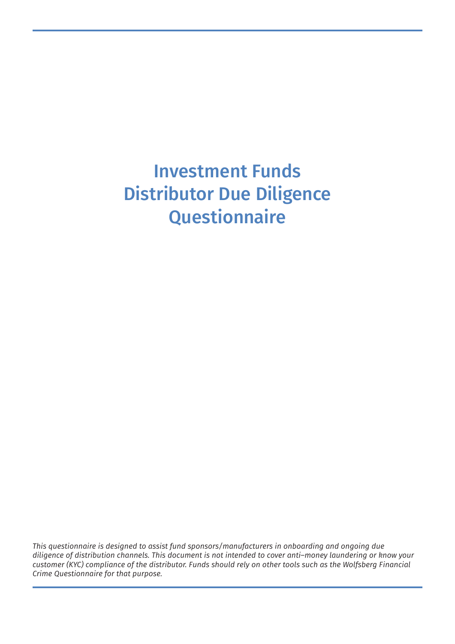# Investment Funds Distributor Due Diligence **Questionnaire**

*This questionnaire is designed to assist fund sponsors/manufacturers in onboarding and ongoing due diligence of distribution channels. This document is not intended to cover anti–money laundering or know your customer (KYC) compliance of the distributor. Funds should rely on other tools such as the Wolfsberg Financial Crime Questionnaire for that purpose.*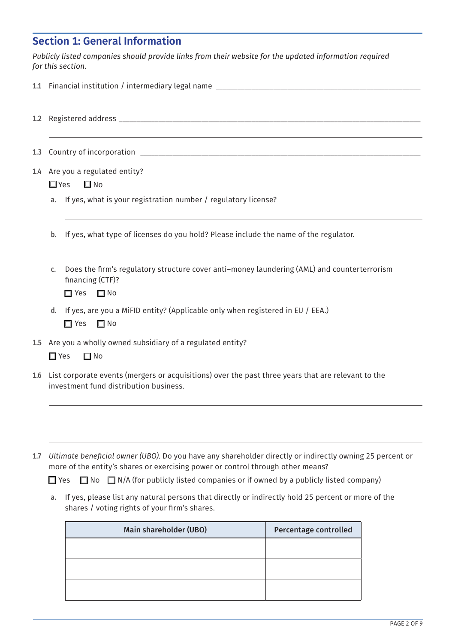# **Section 1: General Information**

*Publicly listed companies should provide links from their website for the updated information required for this section.* 

| 1.2 |                                                                                                                                                     |  |  |  |  |  |
|-----|-----------------------------------------------------------------------------------------------------------------------------------------------------|--|--|--|--|--|
| 1.3 |                                                                                                                                                     |  |  |  |  |  |
|     | 1.4 Are you a regulated entity?                                                                                                                     |  |  |  |  |  |
|     | $\square$ No<br>$\Box$ Yes                                                                                                                          |  |  |  |  |  |
|     | If yes, what is your registration number / regulatory license?<br>a.                                                                                |  |  |  |  |  |
|     | If yes, what type of licenses do you hold? Please include the name of the regulator.<br>b.                                                          |  |  |  |  |  |
|     | Does the firm's regulatory structure cover anti-money laundering (AML) and counterterrorism<br>C.<br>financing (CTF)?<br>$\Box$ Yes<br>$\square$ No |  |  |  |  |  |
|     | If yes, are you a MiFID entity? (Applicable only when registered in EU / EEA.)<br>d.<br>$\Box$ Yes<br>$\Box$ No                                     |  |  |  |  |  |
| 1.5 | Are you a wholly owned subsidiary of a regulated entity?<br>$\square$ Yes<br>$\square$ No                                                           |  |  |  |  |  |
| 1.6 | List corporate events (mergers or acquisitions) over the past three years that are relevant to the<br>investment fund distribution business.        |  |  |  |  |  |
|     |                                                                                                                                                     |  |  |  |  |  |
|     |                                                                                                                                                     |  |  |  |  |  |
|     |                                                                                                                                                     |  |  |  |  |  |

1.7 *Ultimate beneficial owner (UBO)*. Do you have any shareholder directly or indirectly owning 25 percent or more of the entity's shares or exercising power or control through other means?

 $\Box$  Yes  $\Box$  No  $\Box$  N/A (for publicly listed companies or if owned by a publicly listed company)

a. If yes, please list any natural persons that directly or indirectly hold 25 percent or more of the shares / voting rights of your firm's shares.

| Main shareholder (UBO) | Percentage controlled |
|------------------------|-----------------------|
|                        |                       |
|                        |                       |
|                        |                       |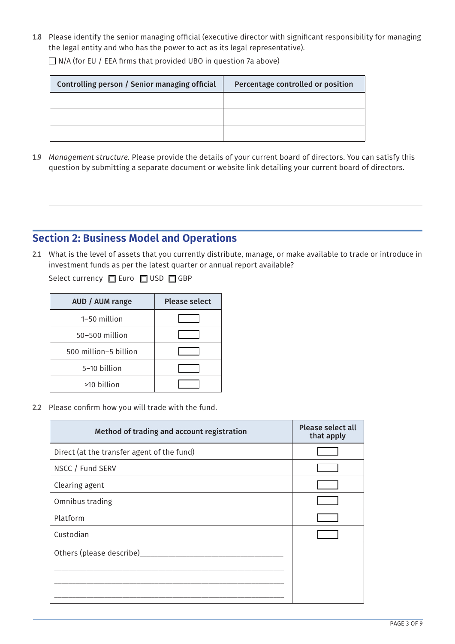1.8 Please identify the senior managing official (executive director with significant responsibility for managing the legal entity and who has the power to act as its legal representative).

 $\Box$  N/A (for EU / EEA firms that provided UBO in question 7a above)

| Controlling person / Senior managing official | Percentage controlled or position |
|-----------------------------------------------|-----------------------------------|
|                                               |                                   |
|                                               |                                   |
|                                               |                                   |

1.9 *Management structure.* Please provide the details of your current board of directors. You can satisfy this question by submitting a separate document or website link detailing your current board of directors.

## **Section 2: Business Model and Operations**

2.1 What is the level of assets that you currently distribute, manage, or make available to trade or introduce in investment funds as per the latest quarter or annual report available?

Select currency **Q** Euro **Q** USD **Q** GBP

| AUD / AUM range       | <b>Please select</b> |
|-----------------------|----------------------|
| 1-50 million          |                      |
| 50-500 million        |                      |
| 500 million-5 billion |                      |
| 5-10 billion          |                      |
| >10 billion           |                      |

2.2 Please confirm how you will trade with the fund.

| Method of trading and account registration | <b>Please select all</b><br>that apply |
|--------------------------------------------|----------------------------------------|
| Direct (at the transfer agent of the fund) |                                        |
| NSCC / Fund SERV                           |                                        |
| Clearing agent                             |                                        |
| Omnibus trading                            |                                        |
| Platform                                   |                                        |
| Custodian                                  |                                        |
| Others (please describe)                   |                                        |
|                                            |                                        |
|                                            |                                        |
|                                            |                                        |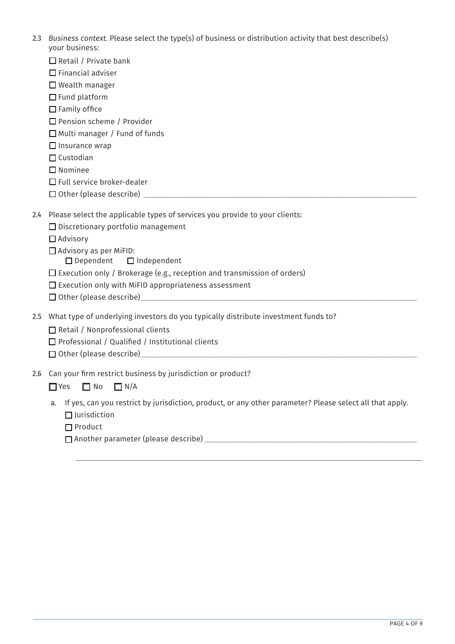| 2.3 Business context. Please select the type(s) of business or distribution activity that best describe(s) |
|------------------------------------------------------------------------------------------------------------|
| your business:                                                                                             |

|                  | your business:                                                                                                                                                                                                                 |
|------------------|--------------------------------------------------------------------------------------------------------------------------------------------------------------------------------------------------------------------------------|
|                  | $\Box$ Retail / Private bank                                                                                                                                                                                                   |
|                  | $\Box$ Financial adviser                                                                                                                                                                                                       |
|                  | $\Box$ Wealth manager                                                                                                                                                                                                          |
|                  | $\Box$ Fund platform                                                                                                                                                                                                           |
|                  | $\Box$ Family office                                                                                                                                                                                                           |
|                  | $\Box$ Pension scheme / Provider                                                                                                                                                                                               |
|                  | □ Multi manager / Fund of funds                                                                                                                                                                                                |
|                  | $\Box$ Insurance wrap                                                                                                                                                                                                          |
|                  | $\Box$ Custodian                                                                                                                                                                                                               |
|                  | $\square$ Nominee                                                                                                                                                                                                              |
|                  | $\Box$ Full service broker-dealer                                                                                                                                                                                              |
|                  |                                                                                                                                                                                                                                |
| $2.4\phantom{0}$ | Please select the applicable types of services you provide to your clients:                                                                                                                                                    |
|                  | $\Box$ Discretionary portfolio management                                                                                                                                                                                      |
|                  | $\Box$ Advisory                                                                                                                                                                                                                |
|                  | $\Box$ Advisory as per MiFID:                                                                                                                                                                                                  |
|                  | $\Box$ Dependent<br>$\Box$ Independent                                                                                                                                                                                         |
|                  | $\Box$ Execution only / Brokerage (e.g., reception and transmission of orders)                                                                                                                                                 |
|                  | $\square$ Execution only with MiFID appropriateness assessment                                                                                                                                                                 |
|                  | Other (please describe) Manual According to the Contract of the Contract of the Contract of the Contract of the Contract of the Contract of the Contract of the Contract of the Contract of the Contract of the Contract of th |
|                  |                                                                                                                                                                                                                                |
| 2.5              | What type of underlying investors do you typically distribute investment funds to?                                                                                                                                             |
|                  | Retail / Nonprofessional clients                                                                                                                                                                                               |
|                  | $\Box$ Professional / Qualified / Institutional clients                                                                                                                                                                        |
|                  |                                                                                                                                                                                                                                |
|                  | 2.6 Can your firm restrict business by jurisdiction or product?                                                                                                                                                                |
|                  | $\Box$ Yes<br>$\Box$ No<br>$\Box N/A$                                                                                                                                                                                          |
|                  |                                                                                                                                                                                                                                |
|                  | If yes, can you restrict by jurisdiction, product, or any other parameter? Please select all that apply.<br>a.                                                                                                                 |

- $\Box$  Jurisdiction
- □ Product

q Another parameter (please describe) \_\_\_\_\_\_\_\_\_\_\_\_\_\_\_\_\_\_\_\_\_\_\_\_\_\_\_\_\_\_\_\_\_\_\_\_\_\_\_\_\_\_\_\_\_\_\_\_\_\_\_\_\_\_\_\_\_\_\_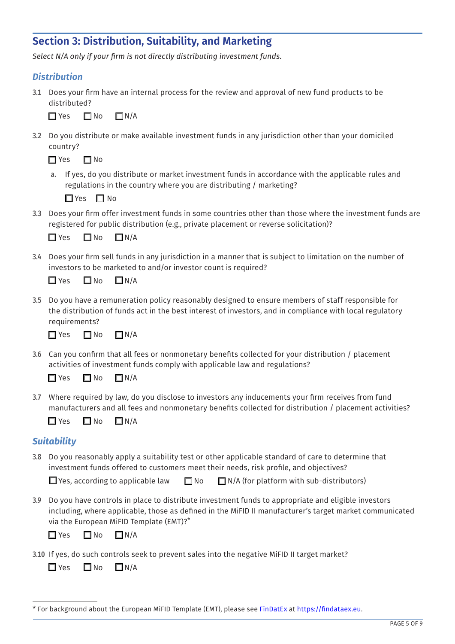## **Section 3: Distribution, Suitability, and Marketing**

*Select N/A only if your firm is not directly distributing investment funds.*

#### *Distribution*

3.1 Does your firm have an internal process for the review and approval of new fund products to be distributed?

 $\Box$  Yes  $\Box$  No  $\Box$  N/A

3.2 Do you distribute or make available investment funds in any jurisdiction other than your domiciled country?

 $\Box$  Yes  $\Box$  No

a. If yes, do you distribute or market investment funds in accordance with the applicable rules and regulations in the country where you are distributing / marketing?

 $\Box$  Yes  $\Box$  No

3.3 Does your firm offer investment funds in some countries other than those where the investment funds are registered for public distribution (e.g., private placement or reverse solicitation)?

| $\Box$ Yes | $\Box$ No | $\Box N/A$ |
|------------|-----------|------------|
|            |           |            |

3.4 Does your firm sell funds in any jurisdiction in a manner that is subject to limitation on the number of investors to be marketed to and/or investor count is required?

| $\Box$ Yes | $\square$ No | $\Box N/A$ |
|------------|--------------|------------|
|            |              |            |

3.5 Do you have a remuneration policy reasonably designed to ensure members of staff responsible for the distribution of funds act in the best interest of investors, and in compliance with local regulatory requirements?

 $\Box$  Yes  $\Box$  No  $\Box$  N/A

3.6 Can you confirm that all fees or nonmonetary benefits collected for your distribution / placement activities of investment funds comply with applicable law and regulations?

| $\Box$ Yes | $\square$ No | $\Box N/A$ |
|------------|--------------|------------|
|            |              |            |

3.7 Where required by law, do you disclose to investors any inducements your firm receives from fund manufacturers and all fees and nonmonetary benefits collected for distribution / placement activities?

| $\Box$ Yes | $\square$ No | $\Box N/A$ |
|------------|--------------|------------|
|            |              |            |

#### *Suitability*

3.8 Do you reasonably apply a suitability test or other applicable standard of care to determine that investment funds offered to customers meet their needs, risk profile, and objectives?

|  |  | $\Box$ Yes, according to applicable law $\Box$ No $\Box$ N/A (for platform with sub-distributors) |
|--|--|---------------------------------------------------------------------------------------------------|
|--|--|---------------------------------------------------------------------------------------------------|

3.9 Do you have controls in place to distribute investment funds to appropriate and eligible investors including, where applicable, those as defined in the MiFID II manufacturer's target market communicated via the European MiFID Template (EMT)?\*

 $\Box$  Yes  $\Box$  No  $\Box$  N/A

3.10 If yes, do such controls seek to prevent sales into the negative MiFID II target market?

 $\Box$  Yes  $\Box$  No  $\Box$  N/A

<sup>\*</sup> For background about the European MiFID Template (EMT), please see [FinDatEx](https://findatex.eu/) at [https://findataex.eu.](https://findataex.eu/)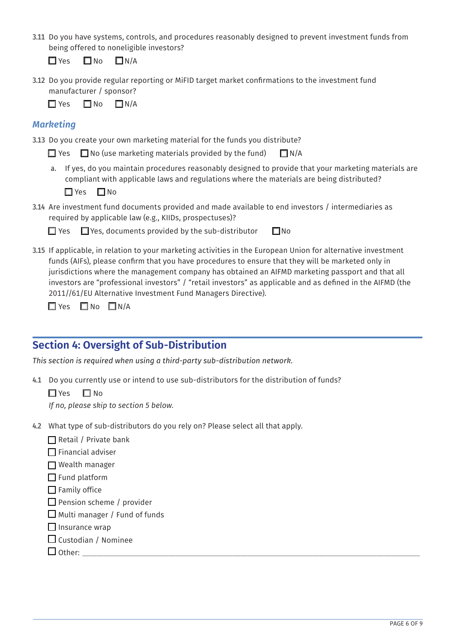3.11 Do you have systems, controls, and procedures reasonably designed to prevent investment funds from being offered to noneligible investors?

 $\Box$  Yes  $\Box$  No  $\Box$  N/A

3.12 Do you provide regular reporting or MiFID target market confirmations to the investment fund manufacturer / sponsor?

 $\Box$  Yes  $\Box$  No  $\Box$  N/A

#### *Marketing*

3.13 Do you create your own marketing material for the funds you distribute?

 $\Box$  Yes  $\Box$  No (use marketing materials provided by the fund)  $\Box$  N/A

a. If yes, do you maintain procedures reasonably designed to provide that your marketing materials are compliant with applicable laws and regulations where the materials are being distributed?

 $\Box$  Yes  $\Box$  No

3.14 Are investment fund documents provided and made available to end investors / intermediaries as required by applicable law (e.g., KIIDs, prospectuses)?

 $\Box$  Yes  $\Box$  Yes, documents provided by the sub-distributor  $\Box$  No

3.15 If applicable, in relation to your marketing activities in the European Union for alternative investment funds (AIFs), please confirm that you have procedures to ensure that they will be marketed only in jurisdictions where the management company has obtained an AIFMD marketing passport and that all investors are "professional investors" / "retail investors" as applicable and as defined in the AIFMD (the 2011//61/EU Alternative Investment Fund Managers Directive).

 $\Box$  Yes  $\Box$  No  $\Box$  N/A

## **Section 4: Oversight of Sub-Distribution**

*This section is required when using a third-party sub-distribution network.*

4.1 Do you currently use or intend to use sub-distributors for the distribution of funds?

 $\Box$  Yes  $\Box$  No

*If no, please skip to section 5 below.*

- 4.2 What type of sub-distributors do you rely on? Please select all that apply.
	- $\Box$  Retail / Private bank
	- $\Box$  Financial adviser
	- $\Box$  Wealth manager
	- $\Box$  Fund platform
	- $\Box$  Family office
	- $\Box$  Pension scheme / provider
	- $\Box$  Multi manager / Fund of funds
	- $\Box$  Insurance wrap
	- $\Box$  Custodian / Nominee

| $    -$ |  |
|---------|--|
|         |  |
|         |  |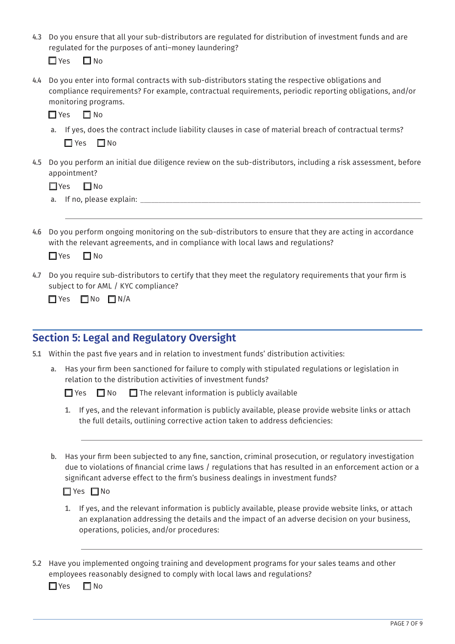| 4.3 Do you ensure that all your sub-distributors are regulated for distribution of investment funds and are |
|-------------------------------------------------------------------------------------------------------------|
| regulated for the purposes of anti-money laundering?                                                        |

 $\Box$  Yes  $\Box$  No

4.4 Do you enter into formal contracts with sub-distributors stating the respective obligations and compliance requirements? For example, contractual requirements, periodic reporting obligations, and/or monitoring programs.

 $\Box$  Yes  $\Box$  No

- a. If yes, does the contract include liability clauses in case of material breach of contractual terms?  $\Box$  Yes  $\Box$  No
- 4.5 Do you perform an initial due diligence review on the sub-distributors, including a risk assessment, before appointment?

 $\Box$  Yes  $\Box$  No

- a. If no, please explain:
- 4.6 Do you perform ongoing monitoring on the sub-distributors to ensure that they are acting in accordance with the relevant agreements, and in compliance with local laws and regulations?

 $\Box$  Yes  $\Box$  No

4.7 Do you require sub-distributors to certify that they meet the regulatory requirements that your firm is subject to for AML / KYC compliance?

 $\Box$  Yes  $\Box$  No  $\Box$  N/A

## **Section 5: Legal and Regulatory Oversight**

- 5.1 Within the past five years and in relation to investment funds' distribution activities:
	- a. Has your firm been sanctioned for failure to comply with stipulated regulations or legislation in relation to the distribution activities of investment funds?

 $\Box$  Yes  $\Box$  No  $\Box$  The relevant information is publicly available

- 1. If yes, and the relevant information is publicly available, please provide website links or attach the full details, outlining corrective action taken to address deficiencies:
- b. Has your firm been subjected to any fine, sanction, criminal prosecution, or regulatory investigation due to violations of financial crime laws / regulations that has resulted in an enforcement action or a significant adverse effect to the firm's business dealings in investment funds?

#### $\Box$  Yes  $\Box$  No

- 1. If yes, and the relevant information is publicly available, please provide website links, or attach an explanation addressing the details and the impact of an adverse decision on your business, operations, policies, and/or procedures:
- 5.2 Have you implemented ongoing training and development programs for your sales teams and other employees reasonably designed to comply with local laws and regulations?

 $\Box$  Yes  $\Box$  No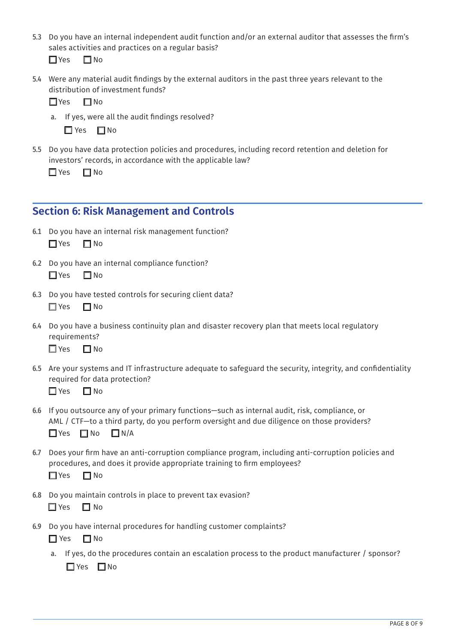5.3 Do you have an internal independent audit function and/or an external auditor that assesses the firm's sales activities and practices on a regular basis?

 $\Box$  Yes  $\Box$  No

5.4 Were any material audit findings by the external auditors in the past three years relevant to the distribution of investment funds?

 $\Box$  Yes  $\Box$  No

a. If yes, were all the audit findings resolved?

 $\Box$  Yes  $\Box$  No

5.5 Do you have data protection policies and procedures, including record retention and deletion for investors' records, in accordance with the applicable law?

 $\Box$  Yes  $\Box$  No

## **Section 6: Risk Management and Controls**

- 6.1 Do you have an internal risk management function?  $\Box$  Yes  $\Box$  No
- 6.2 Do you have an internal compliance function?  $\Box$  Yes  $\Box$  No
- 6.3 Do you have tested controls for securing client data?

 $\Box$  Yes  $\Box$  No

6.4 Do you have a business continuity plan and disaster recovery plan that meets local regulatory requirements?

 $\Box$  Yes  $\Box$  No

6.5 Are your systems and IT infrastructure adequate to safeguard the security, integrity, and confidentiality required for data protection?

 $\Box$  Yes  $\Box$  No

- 6.6 If you outsource any of your primary functions—such as internal audit, risk, compliance, or AML / CTF—to a third party, do you perform oversight and due diligence on those providers?  $\Box$  Yes  $\Box$  No  $\Box$  N/A
- 6.7 Does your firm have an anti-corruption compliance program, including anti-corruption policies and procedures, and does it provide appropriate training to firm employees?

 $\Box$  Yes  $\Box$  No

6.8 Do you maintain controls in place to prevent tax evasion?

 $\Box$  Yes  $\Box$  No

6.9 Do you have internal procedures for handling customer complaints?

 $\Box$  Yes  $\Box$  No

a. If yes, do the procedures contain an escalation process to the product manufacturer / sponsor?  $\Box$  Yes  $\Box$  No